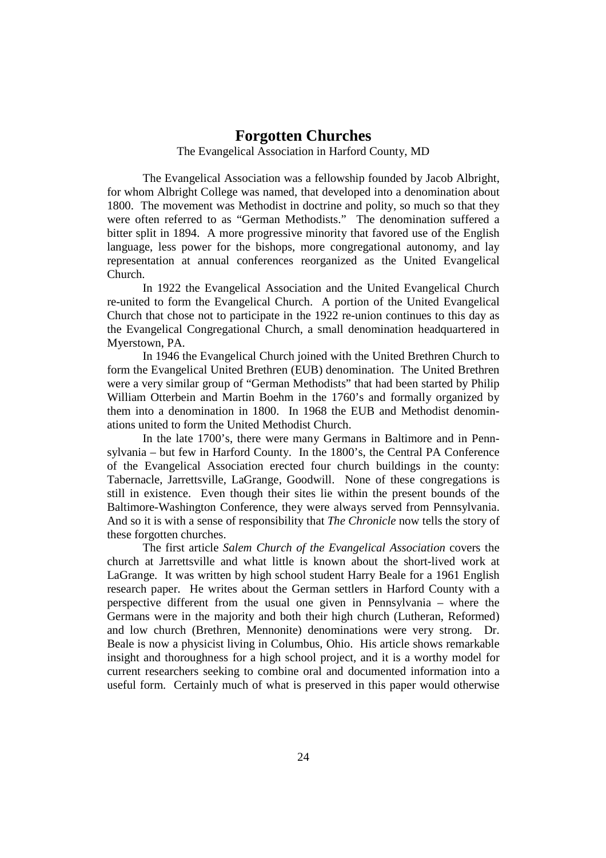# **Forgotten Churches**

The Evangelical Association in Harford County, MD

 The Evangelical Association was a fellowship founded by Jacob Albright, for whom Albright College was named, that developed into a denomination about 1800. The movement was Methodist in doctrine and polity, so much so that they were often referred to as "German Methodists." The denomination suffered a bitter split in 1894. A more progressive minority that favored use of the English language, less power for the bishops, more congregational autonomy, and lay representation at annual conferences reorganized as the United Evangelical Church.

In 1922 the Evangelical Association and the United Evangelical Church re-united to form the Evangelical Church. A portion of the United Evangelical Church that chose not to participate in the 1922 re-union continues to this day as the Evangelical Congregational Church, a small denomination headquartered in Myerstown, PA.

In 1946 the Evangelical Church joined with the United Brethren Church to form the Evangelical United Brethren (EUB) denomination. The United Brethren were a very similar group of "German Methodists" that had been started by Philip William Otterbein and Martin Boehm in the 1760's and formally organized by them into a denomination in 1800. In 1968 the EUB and Methodist denominations united to form the United Methodist Church.

In the late 1700's, there were many Germans in Baltimore and in Pennsylvania – but few in Harford County. In the 1800's, the Central PA Conference of the Evangelical Association erected four church buildings in the county: Tabernacle, Jarrettsville, LaGrange, Goodwill. None of these congregations is still in existence. Even though their sites lie within the present bounds of the Baltimore-Washington Conference, they were always served from Pennsylvania. And so it is with a sense of responsibility that *The Chronicle* now tells the story of these forgotten churches.

The first article *Salem Church of the Evangelical Association* covers the church at Jarrettsville and what little is known about the short-lived work at LaGrange. It was written by high school student Harry Beale for a 1961 English research paper. He writes about the German settlers in Harford County with a perspective different from the usual one given in Pennsylvania – where the Germans were in the majority and both their high church (Lutheran, Reformed) and low church (Brethren, Mennonite) denominations were very strong. Dr. Beale is now a physicist living in Columbus, Ohio. His article shows remarkable insight and thoroughness for a high school project, and it is a worthy model for current researchers seeking to combine oral and documented information into a useful form. Certainly much of what is preserved in this paper would otherwise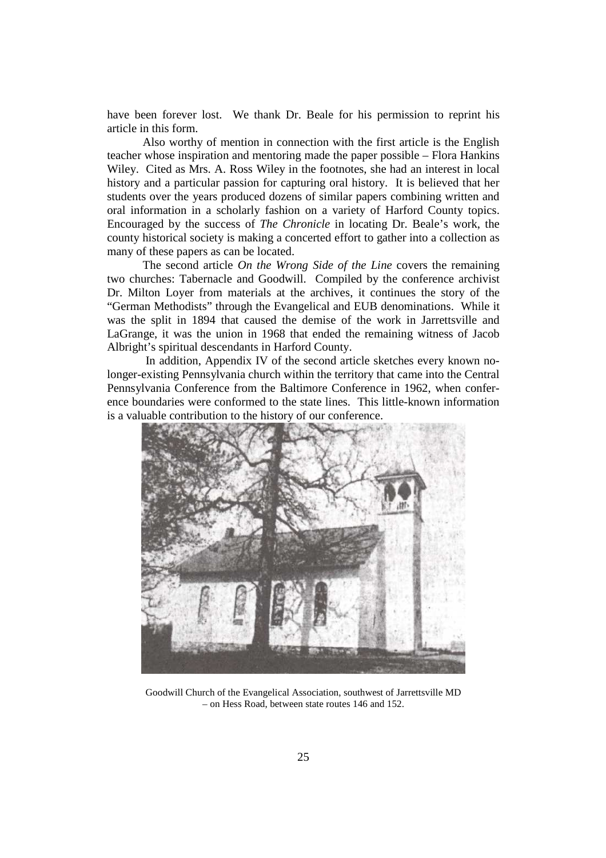have been forever lost. We thank Dr. Beale for his permission to reprint his article in this form.

Also worthy of mention in connection with the first article is the English teacher whose inspiration and mentoring made the paper possible – Flora Hankins Wiley. Cited as Mrs. A. Ross Wiley in the footnotes, she had an interest in local history and a particular passion for capturing oral history. It is believed that her students over the years produced dozens of similar papers combining written and oral information in a scholarly fashion on a variety of Harford County topics. Encouraged by the success of *The Chronicle* in locating Dr. Beale's work, the county historical society is making a concerted effort to gather into a collection as many of these papers as can be located.

The second article *On the Wrong Side of the Line* covers the remaining two churches: Tabernacle and Goodwill. Compiled by the conference archivist Dr. Milton Loyer from materials at the archives, it continues the story of the "German Methodists" through the Evangelical and EUB denominations. While it was the split in 1894 that caused the demise of the work in Jarrettsville and LaGrange, it was the union in 1968 that ended the remaining witness of Jacob Albright's spiritual descendants in Harford County.

 In addition, Appendix IV of the second article sketches every known nolonger-existing Pennsylvania church within the territory that came into the Central Pennsylvania Conference from the Baltimore Conference in 1962, when conference boundaries were conformed to the state lines. This little-known information is a valuable contribution to the history of our conference.



Goodwill Church of the Evangelical Association, southwest of Jarrettsville MD – on Hess Road, between state routes 146 and 152.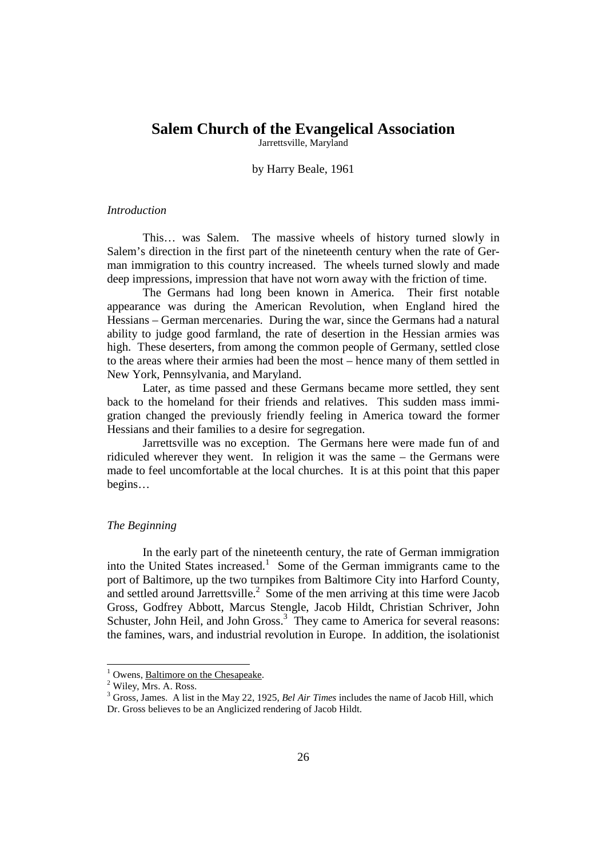# **Salem Church of the Evangelical Association**

Jarrettsville, Maryland

by Harry Beale, 1961

#### *Introduction*

 This… was Salem. The massive wheels of history turned slowly in Salem's direction in the first part of the nineteenth century when the rate of German immigration to this country increased. The wheels turned slowly and made deep impressions, impression that have not worn away with the friction of time.

 The Germans had long been known in America. Their first notable appearance was during the American Revolution, when England hired the Hessians – German mercenaries. During the war, since the Germans had a natural ability to judge good farmland, the rate of desertion in the Hessian armies was high. These deserters, from among the common people of Germany, settled close to the areas where their armies had been the most – hence many of them settled in New York, Pennsylvania, and Maryland.

 Later, as time passed and these Germans became more settled, they sent back to the homeland for their friends and relatives. This sudden mass immigration changed the previously friendly feeling in America toward the former Hessians and their families to a desire for segregation.

Jarrettsville was no exception. The Germans here were made fun of and ridiculed wherever they went. In religion it was the same – the Germans were made to feel uncomfortable at the local churches. It is at this point that this paper begins…

#### *The Beginning*

 In the early part of the nineteenth century, the rate of German immigration into the United States increased.<sup>1</sup> Some of the German immigrants came to the port of Baltimore, up the two turnpikes from Baltimore City into Harford County, and settled around Jarrettsville.<sup>2</sup> Some of the men arriving at this time were Jacob Gross, Godfrey Abbott, Marcus Stengle, Jacob Hildt, Christian Schriver, John Schuster, John Heil, and John Gross.<sup>3</sup> They came to America for several reasons: the famines, wars, and industrial revolution in Europe. In addition, the isolationist

<sup>&</sup>lt;sup>1</sup> Owens, <u>Baltimore on the Chesapeake</u>.

<sup>&</sup>lt;sup>2</sup> Wiley, Mrs. A. Ross.

<sup>&</sup>lt;sup>3</sup> Gross, James. A list in the May 22, 1925, *Bel Air Times* includes the name of Jacob Hill, which Dr. Gross believes to be an Anglicized rendering of Jacob Hildt.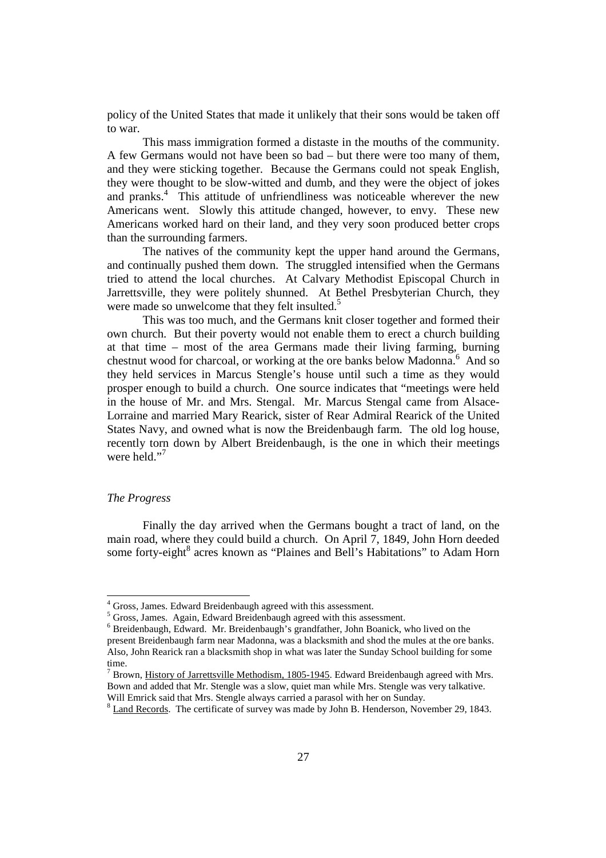policy of the United States that made it unlikely that their sons would be taken off to war.

 This mass immigration formed a distaste in the mouths of the community. A few Germans would not have been so bad – but there were too many of them, and they were sticking together. Because the Germans could not speak English, they were thought to be slow-witted and dumb, and they were the object of jokes and pranks.<sup>4</sup> This attitude of unfriendliness was noticeable wherever the new Americans went. Slowly this attitude changed, however, to envy. These new Americans worked hard on their land, and they very soon produced better crops than the surrounding farmers.

 The natives of the community kept the upper hand around the Germans, and continually pushed them down. The struggled intensified when the Germans tried to attend the local churches. At Calvary Methodist Episcopal Church in Jarrettsville, they were politely shunned. At Bethel Presbyterian Church, they were made so unwelcome that they felt insulted.<sup>5</sup>

 This was too much, and the Germans knit closer together and formed their own church. But their poverty would not enable them to erect a church building at that time – most of the area Germans made their living farming, burning chestnut wood for charcoal, or working at the ore banks below Madonna.<sup>6</sup> And so they held services in Marcus Stengle's house until such a time as they would prosper enough to build a church. One source indicates that "meetings were held in the house of Mr. and Mrs. Stengal. Mr. Marcus Stengal came from Alsace-Lorraine and married Mary Rearick, sister of Rear Admiral Rearick of the United States Navy, and owned what is now the Breidenbaugh farm. The old log house, recently torn down by Albert Breidenbaugh, is the one in which their meetings were held."<sup>7</sup>

## *The Progress*

 $\overline{a}$ 

 Finally the day arrived when the Germans bought a tract of land, on the main road, where they could build a church. On April 7, 1849, John Horn deeded some forty-eight<sup>8</sup> acres known as "Plaines and Bell's Habitations" to Adam Horn

<sup>&</sup>lt;sup>4</sup> Gross, James. Edward Breidenbaugh agreed with this assessment.

<sup>&</sup>lt;sup>5</sup> Gross, James. Again, Edward Breidenbaugh agreed with this assessment.

<sup>6</sup> Breidenbaugh, Edward. Mr. Breidenbaugh's grandfather, John Boanick, who lived on the present Breidenbaugh farm near Madonna, was a blacksmith and shod the mules at the ore banks. Also, John Rearick ran a blacksmith shop in what was later the Sunday School building for some time.

 $^7$  Brown, History of Jarrettsville Methodism, 1805-1945. Edward Breidenbaugh agreed with Mrs. Bown and added that Mr. Stengle was a slow, quiet man while Mrs. Stengle was very talkative. Will Emrick said that Mrs. Stengle always carried a parasol with her on Sunday.

 $8 \text{ Land Records}$ . The certificate of survey was made by John B. Henderson, November 29, 1843.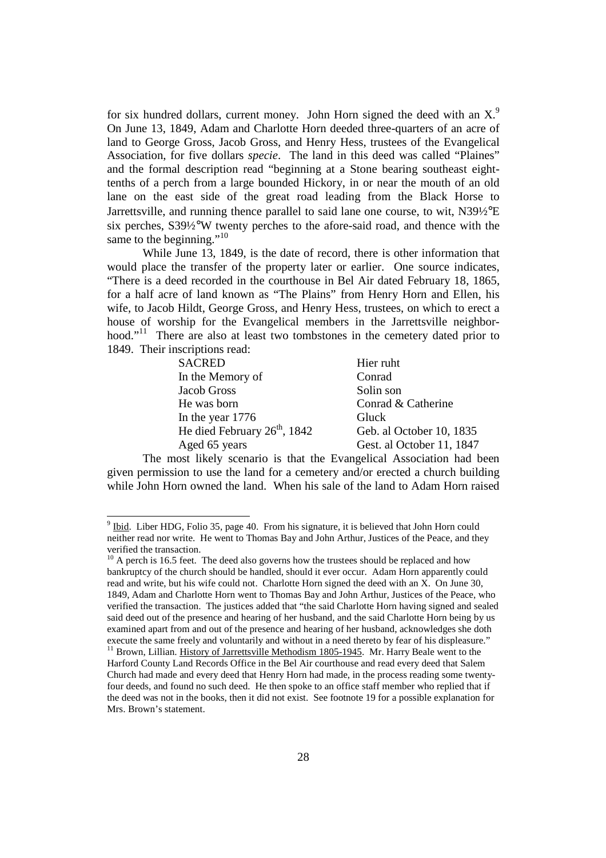for six hundred dollars, current money. John Horn signed the deed with an  $X^9$ . On June 13, 1849, Adam and Charlotte Horn deeded three-quarters of an acre of land to George Gross, Jacob Gross, and Henry Hess, trustees of the Evangelical Association, for five dollars *specie*. The land in this deed was called "Plaines" and the formal description read "beginning at a Stone bearing southeast eighttenths of a perch from a large bounded Hickory, in or near the mouth of an old lane on the east side of the great road leading from the Black Horse to Jarrettsville, and running thence parallel to said lane one course, to wit,  $N39\frac{1}{2}$ °E six perches, S39½°W twenty perches to the afore-said road, and thence with the same to the beginning."<sup>10</sup>

 While June 13, 1849, is the date of record, there is other information that would place the transfer of the property later or earlier. One source indicates, "There is a deed recorded in the courthouse in Bel Air dated February 18, 1865, for a half acre of land known as "The Plains" from Henry Horn and Ellen, his wife, to Jacob Hildt, George Gross, and Henry Hess, trustees, on which to erect a house of worship for the Evangelical members in the Jarrettsville neighborhood."<sup>11</sup> There are also at least two tombstones in the cemetery dated prior to 1849. Their inscriptions read:

| <b>SACRED</b>                            | Hier ruht                 |
|------------------------------------------|---------------------------|
| In the Memory of                         | Conrad                    |
| Jacob Gross                              | Solin son                 |
| He was born                              | Conrad & Catherine        |
| In the year 1776                         | Gluck                     |
| He died February 26 <sup>th</sup> , 1842 | Geb. al October 10, 1835  |
| Aged 65 years                            | Gest. al October 11, 1847 |
|                                          |                           |

 The most likely scenario is that the Evangelical Association had been given permission to use the land for a cemetery and/or erected a church building while John Horn owned the land. When his sale of the land to Adam Horn raised

 $9 \text{ Ibid.}$  Liber HDG, Folio 35, page 40. From his signature, it is believed that John Horn could neither read nor write. He went to Thomas Bay and John Arthur, Justices of the Peace, and they verified the transaction.

 $10$  A perch is 16.5 feet. The deed also governs how the trustees should be replaced and how bankruptcy of the church should be handled, should it ever occur. Adam Horn apparently could read and write, but his wife could not. Charlotte Horn signed the deed with an X. On June 30, 1849, Adam and Charlotte Horn went to Thomas Bay and John Arthur, Justices of the Peace, who verified the transaction. The justices added that "the said Charlotte Horn having signed and sealed said deed out of the presence and hearing of her husband, and the said Charlotte Horn being by us examined apart from and out of the presence and hearing of her husband, acknowledges she doth execute the same freely and voluntarily and without in a need thereto by fear of his displeasure." <sup>11</sup> Brown, Lillian. History of Jarrettsville Methodism 1805-1945. Mr. Harry Beale went to the Harford County Land Records Office in the Bel Air courthouse and read every deed that Salem Church had made and every deed that Henry Horn had made, in the process reading some twentyfour deeds, and found no such deed. He then spoke to an office staff member who replied that if the deed was not in the books, then it did not exist. See footnote 19 for a possible explanation for Mrs. Brown's statement.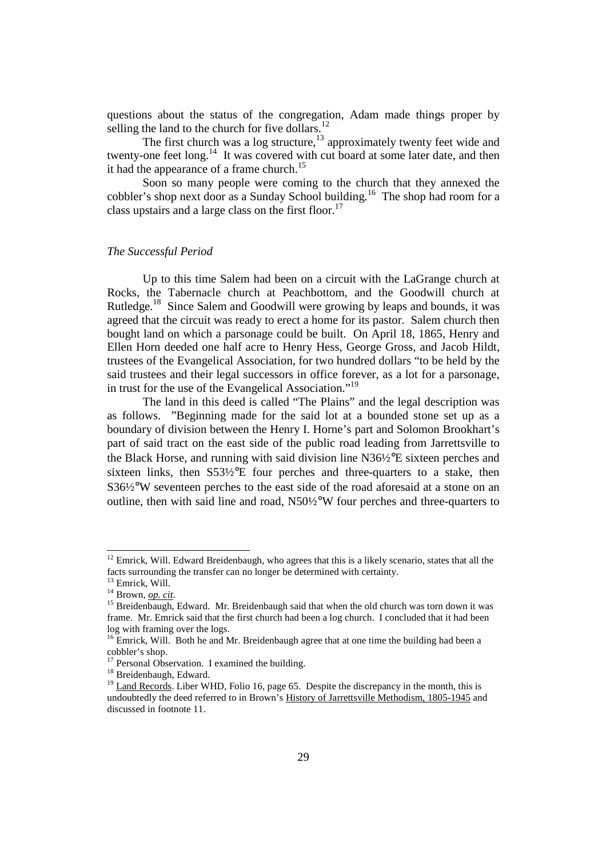questions about the status of the congregation, Adam made things proper by selling the land to the church for five dollars. $^{12}$ 

The first church was a log structure,<sup>13</sup> approximately twenty feet wide and twenty-one feet long.<sup>14</sup> It was covered with cut board at some later date, and then it had the appearance of a frame church.<sup>15</sup>

 Soon so many people were coming to the church that they annexed the cobbler's shop next door as a Sunday School building. <sup>16</sup> The shop had room for a class upstairs and a large class on the first floor.<sup>17</sup>

#### *The Successful Period*

 Up to this time Salem had been on a circuit with the LaGrange church at Rocks, the Tabernacle church at Peachbottom, and the Goodwill church at Rutledge.<sup>18</sup> Since Salem and Goodwill were growing by leaps and bounds, it was agreed that the circuit was ready to erect a home for its pastor. Salem church then bought land on which a parsonage could be built. On April 18, 1865, Henry and Ellen Horn deeded one half acre to Henry Hess, George Gross, and Jacob Hildt, trustees of the Evangelical Association, for two hundred dollars "to be held by the said trustees and their legal successors in office forever, as a lot for a parsonage, in trust for the use of the Evangelical Association."<sup>19</sup>

 The land in this deed is called "The Plains" and the legal description was as follows. "Beginning made for the said lot at a bounded stone set up as a boundary of division between the Henry I. Horne's part and Solomon Brookhart's part of said tract on the east side of the public road leading from Jarrettsville to the Black Horse, and running with said division line N36½°E sixteen perches and sixteen links, then S53½°E four perches and three-quarters to a stake, then S36½°W seventeen perches to the east side of the road aforesaid at a stone on an outline, then with said line and road,  $N50\frac{1}{2}$ °W four perches and three-quarters to

 $12$  Emrick, Will. Edward Breidenbaugh, who agrees that this is a likely scenario, states that all the facts surrounding the transfer can no longer be determined with certainty.

<sup>&</sup>lt;sup>13</sup> Emrick, Will. <sup>14</sup> Brown, *op. cit*.

<sup>&</sup>lt;sup>15</sup> Breidenbaugh, Edward. Mr. Breidenbaugh said that when the old church was torn down it was frame. Mr. Emrick said that the first church had been a log church. I concluded that it had been

log with framing over the logs.  $^{16}$  Emrick, Will. Both he and Mr. Breidenbaugh agree that at one time the building had been a cobbler's shop.

<sup>&</sup>lt;sup>17</sup> Personal Observation. I examined the building.

<sup>&</sup>lt;sup>18</sup> Breidenbaugh, Edward.

<sup>&</sup>lt;sup>19</sup> Land Records. Liber WHD, Folio 16, page 65. Despite the discrepancy in the month, this is undoubtedly the deed referred to in Brown's History of Jarrettsville Methodism, 1805-1945 and discussed in footnote 11.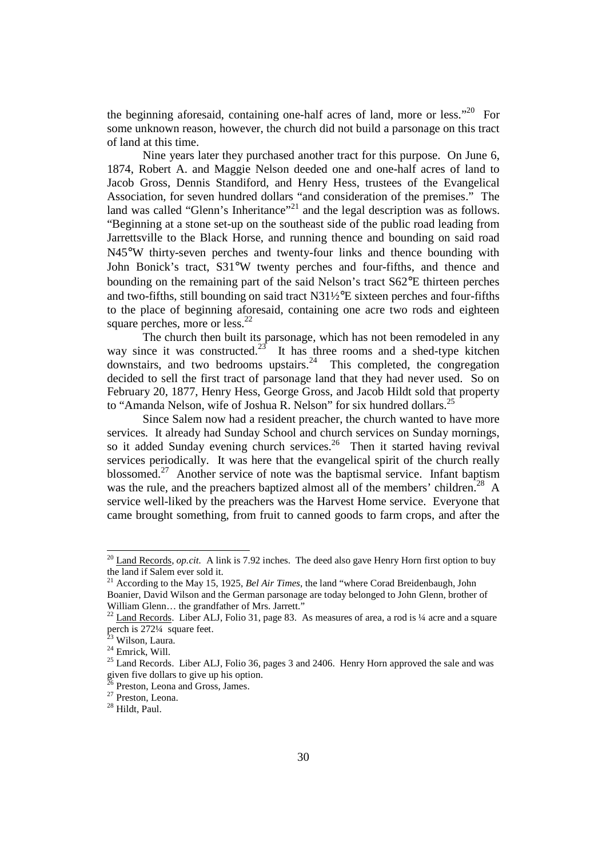the beginning aforesaid, containing one-half acres of land, more or less. $120$  For some unknown reason, however, the church did not build a parsonage on this tract of land at this time.

 Nine years later they purchased another tract for this purpose. On June 6, 1874, Robert A. and Maggie Nelson deeded one and one-half acres of land to Jacob Gross, Dennis Standiford, and Henry Hess, trustees of the Evangelical Association, for seven hundred dollars "and consideration of the premises." The land was called "Glenn's Inheritance"<sup>21</sup> and the legal description was as follows. "Beginning at a stone set-up on the southeast side of the public road leading from Jarrettsville to the Black Horse, and running thence and bounding on said road N45°W thirty-seven perches and twenty-four links and thence bounding with John Bonick's tract, S31°W twenty perches and four-fifths, and thence and bounding on the remaining part of the said Nelson's tract S62°E thirteen perches and two-fifths, still bounding on said tract N31½°E sixteen perches and four-fifths to the place of beginning aforesaid, containing one acre two rods and eighteen square perches, more or less.<sup>22</sup>

 The church then built its parsonage, which has not been remodeled in any way since it was constructed.<sup>23</sup> It has three rooms and a shed-type kitchen  $\frac{1}{2}$  downstairs, and two bedrooms upstairs.<sup>24</sup> This completed, the congregation decided to sell the first tract of parsonage land that they had never used. So on February 20, 1877, Henry Hess, George Gross, and Jacob Hildt sold that property to "Amanda Nelson, wife of Joshua R. Nelson" for six hundred dollars.<sup>25</sup>

 Since Salem now had a resident preacher, the church wanted to have more services. It already had Sunday School and church services on Sunday mornings, so it added Sunday evening church services.<sup>26</sup> Then it started having revival services periodically. It was here that the evangelical spirit of the church really blossomed.<sup>27</sup> Another service of note was the baptismal service. Infant baptism was the rule, and the preachers baptized almost all of the members' children.<sup>28</sup> A service well-liked by the preachers was the Harvest Home service. Everyone that came brought something, from fruit to canned goods to farm crops, and after the

<sup>&</sup>lt;sup>20</sup> Land Records, *op.cit.* A link is 7.92 inches. The deed also gave Henry Horn first option to buy the land if Salem ever sold it.

<sup>21</sup> According to the May 15, 1925, *Bel Air Times*, the land "where Corad Breidenbaugh, John Boanier, David Wilson and the German parsonage are today belonged to John Glenn, brother of William Glenn... the grandfather of Mrs. Jarrett."

 $22$  Land Records. Liber ALJ, Folio 31, page 83. As measures of area, a rod is  $\frac{1}{4}$  acre and a square perch is 272¼ square feet.

<sup>&</sup>lt;sup>23</sup> Wilson, Laura.

<sup>24</sup> Emrick, Will.

<sup>&</sup>lt;sup>25</sup> Land Records. Liber ALJ, Folio 36, pages 3 and 2406. Henry Horn approved the sale and was given five dollars to give up his option.

 $^{26}$  Preston, Leona and Gross, James.

<sup>27</sup> Preston, Leona.

<sup>28</sup> Hildt, Paul.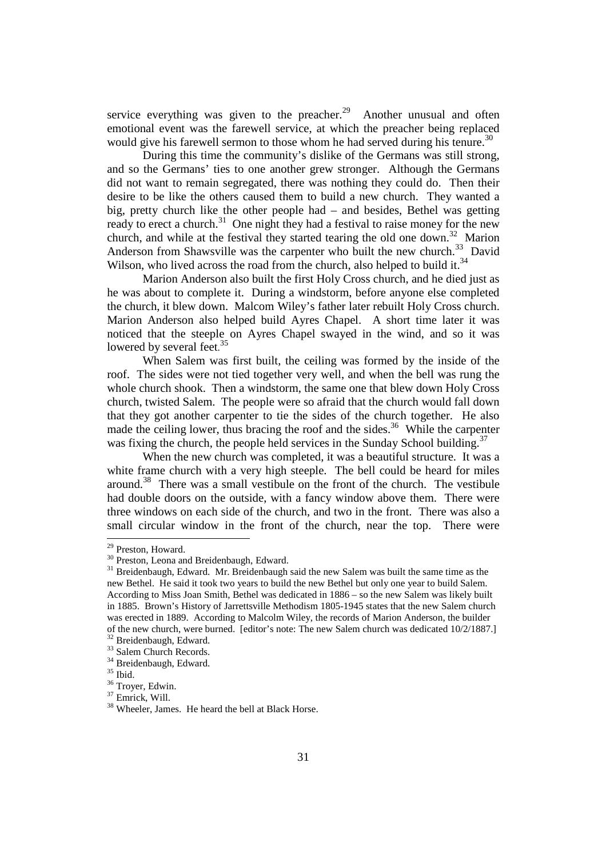service everything was given to the preacher.<sup>29</sup> Another unusual and often emotional event was the farewell service, at which the preacher being replaced would give his farewell sermon to those whom he had served during his tenure.<sup>30</sup>

 During this time the community's dislike of the Germans was still strong, and so the Germans' ties to one another grew stronger. Although the Germans did not want to remain segregated, there was nothing they could do. Then their desire to be like the others caused them to build a new church. They wanted a big, pretty church like the other people had – and besides, Bethel was getting ready to erect a church.<sup>31</sup> One night they had a festival to raise money for the new church, and while at the festival they started tearing the old one down.<sup>32</sup> Marion Anderson from Shawsville was the carpenter who built the new church.<sup>33</sup> David Wilson, who lived across the road from the church, also helped to build it.<sup>34</sup>

Marion Anderson also built the first Holy Cross church, and he died just as he was about to complete it. During a windstorm, before anyone else completed the church, it blew down. Malcom Wiley's father later rebuilt Holy Cross church. Marion Anderson also helped build Ayres Chapel. A short time later it was noticed that the steeple on Ayres Chapel swayed in the wind, and so it was lowered by several feet.<sup>35</sup>

 When Salem was first built, the ceiling was formed by the inside of the roof. The sides were not tied together very well, and when the bell was rung the whole church shook. Then a windstorm, the same one that blew down Holy Cross church, twisted Salem. The people were so afraid that the church would fall down that they got another carpenter to tie the sides of the church together. He also made the ceiling lower, thus bracing the roof and the sides. $36$  While the carpenter was fixing the church, the people held services in the Sunday School building.<sup>37</sup>

 When the new church was completed, it was a beautiful structure. It was a white frame church with a very high steeple. The bell could be heard for miles around.<sup>38</sup> There was a small vestibule on the front of the church. The vestibule had double doors on the outside, with a fancy window above them. There were three windows on each side of the church, and two in the front. There was also a small circular window in the front of the church, near the top. There were

<sup>&</sup>lt;sup>29</sup> Preston, Howard.

<sup>&</sup>lt;sup>30</sup> Preston, Leona and Breidenbaugh, Edward.

<sup>&</sup>lt;sup>31</sup> Breidenbaugh, Edward. Mr. Breidenbaugh said the new Salem was built the same time as the new Bethel. He said it took two years to build the new Bethel but only one year to build Salem. According to Miss Joan Smith, Bethel was dedicated in 1886 – so the new Salem was likely built in 1885. Brown's History of Jarrettsville Methodism 1805-1945 states that the new Salem church was erected in 1889. According to Malcolm Wiley, the records of Marion Anderson, the builder of the new church, were burned. [editor's note: The new Salem church was dedicated 10/2/1887.] <sup>32</sup> Breidenbaugh, Edward.

<sup>&</sup>lt;sup>33</sup> Salem Church Records.

<sup>&</sup>lt;sup>34</sup> Breidenbaugh, Edward.

 $^{35}$  Ibid.

<sup>&</sup>lt;sup>36</sup> Troyer, Edwin.

<sup>37</sup> Emrick, Will.

<sup>38</sup> Wheeler, James. He heard the bell at Black Horse.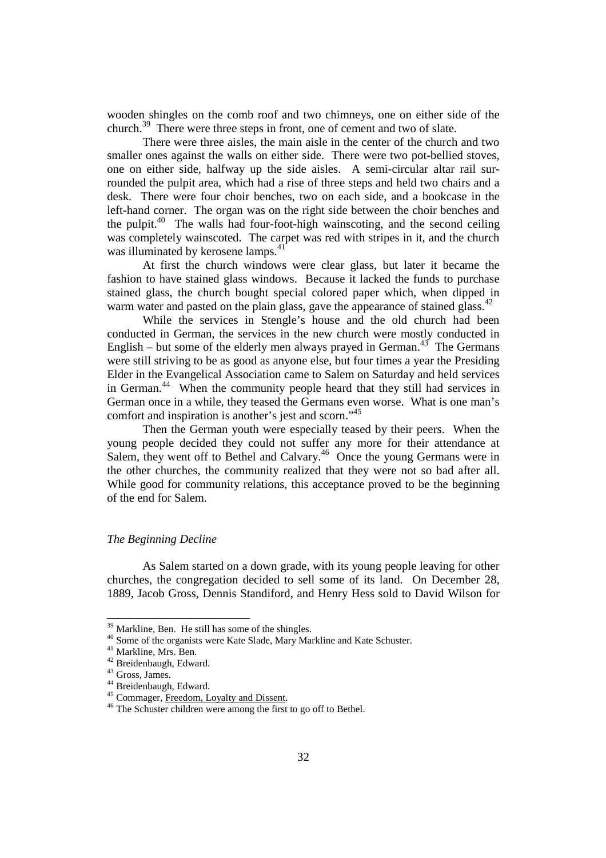wooden shingles on the comb roof and two chimneys, one on either side of the church.<sup>39</sup> There were three steps in front, one of cement and two of slate.

 There were three aisles, the main aisle in the center of the church and two smaller ones against the walls on either side. There were two pot-bellied stoves, one on either side, halfway up the side aisles. A semi-circular altar rail surrounded the pulpit area, which had a rise of three steps and held two chairs and a desk. There were four choir benches, two on each side, and a bookcase in the left-hand corner. The organ was on the right side between the choir benches and the pulpit.<sup>40</sup> The walls had four-foot-high wainscoting, and the second ceiling was completely wainscoted. The carpet was red with stripes in it, and the church was illuminated by kerosene lamps.<sup>41</sup>

 At first the church windows were clear glass, but later it became the fashion to have stained glass windows. Because it lacked the funds to purchase stained glass, the church bought special colored paper which, when dipped in warm water and pasted on the plain glass, gave the appearance of stained glass.  $42$ 

 While the services in Stengle's house and the old church had been conducted in German, the services in the new church were mostly conducted in English – but some of the elderly men always prayed in German.<sup>43</sup> The Germans were still striving to be as good as anyone else, but four times a year the Presiding Elder in the Evangelical Association came to Salem on Saturday and held services in German.<sup>44</sup> When the community people heard that they still had services in German once in a while, they teased the Germans even worse. What is one man's comfort and inspiration is another's jest and scorn."<sup>45</sup>

 Then the German youth were especially teased by their peers. When the young people decided they could not suffer any more for their attendance at Salem, they went off to Bethel and Calvary.<sup>46</sup> Once the young Germans were in the other churches, the community realized that they were not so bad after all. While good for community relations, this acceptance proved to be the beginning of the end for Salem.

#### *The Beginning Decline*

 As Salem started on a down grade, with its young people leaving for other churches, the congregation decided to sell some of its land. On December 28, 1889, Jacob Gross, Dennis Standiford, and Henry Hess sold to David Wilson for

<sup>&</sup>lt;sup>39</sup> Markline, Ben. He still has some of the shingles.

<sup>&</sup>lt;sup>40</sup> Some of the organists were Kate Slade, Mary Markline and Kate Schuster.

<sup>&</sup>lt;sup>41</sup> Markline, Mrs. Ben.

<sup>42</sup> Breidenbaugh, Edward.

<sup>43</sup> Gross, James.

<sup>&</sup>lt;sup>44</sup> Breidenbaugh, Edward.

<sup>&</sup>lt;sup>45</sup> Commager, Freedom, Loyalty and Dissent.

<sup>46</sup> The Schuster children were among the first to go off to Bethel.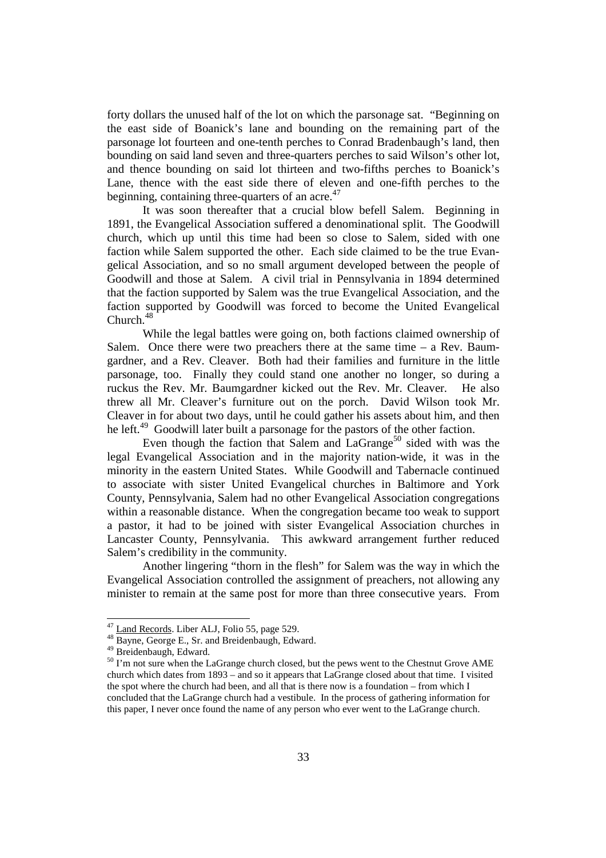forty dollars the unused half of the lot on which the parsonage sat. "Beginning on the east side of Boanick's lane and bounding on the remaining part of the parsonage lot fourteen and one-tenth perches to Conrad Bradenbaugh's land, then bounding on said land seven and three-quarters perches to said Wilson's other lot, and thence bounding on said lot thirteen and two-fifths perches to Boanick's Lane, thence with the east side there of eleven and one-fifth perches to the beginning, containing three-quarters of an acre. $47$ 

It was soon thereafter that a crucial blow befell Salem. Beginning in 1891, the Evangelical Association suffered a denominational split. The Goodwill church, which up until this time had been so close to Salem, sided with one faction while Salem supported the other. Each side claimed to be the true Evangelical Association, and so no small argument developed between the people of Goodwill and those at Salem. A civil trial in Pennsylvania in 1894 determined that the faction supported by Salem was the true Evangelical Association, and the faction supported by Goodwill was forced to become the United Evangelical Church.<sup>48</sup>

 While the legal battles were going on, both factions claimed ownership of Salem. Once there were two preachers there at the same time – a Rev. Baumgardner, and a Rev. Cleaver. Both had their families and furniture in the little parsonage, too. Finally they could stand one another no longer, so during a ruckus the Rev. Mr. Baumgardner kicked out the Rev. Mr. Cleaver. He also threw all Mr. Cleaver's furniture out on the porch. David Wilson took Mr. Cleaver in for about two days, until he could gather his assets about him, and then he left.<sup>49</sup> Goodwill later built a parsonage for the pastors of the other faction.

Even though the faction that Salem and  $LaGrange<sup>50</sup>$  sided with was the legal Evangelical Association and in the majority nation-wide, it was in the minority in the eastern United States. While Goodwill and Tabernacle continued to associate with sister United Evangelical churches in Baltimore and York County, Pennsylvania, Salem had no other Evangelical Association congregations within a reasonable distance. When the congregation became too weak to support a pastor, it had to be joined with sister Evangelical Association churches in Lancaster County, Pennsylvania. This awkward arrangement further reduced Salem's credibility in the community.

 Another lingering "thorn in the flesh" for Salem was the way in which the Evangelical Association controlled the assignment of preachers, not allowing any minister to remain at the same post for more than three consecutive years. From

<sup>&</sup>lt;sup>47</sup> Land Records. Liber ALJ, Folio 55, page 529.

<sup>48</sup> Bayne, George E., Sr. and Breidenbaugh, Edward.

<sup>49</sup> Breidenbaugh, Edward.

<sup>&</sup>lt;sup>50</sup> I'm not sure when the LaGrange church closed, but the pews went to the Chestnut Grove AME church which dates from 1893 – and so it appears that LaGrange closed about that time. I visited the spot where the church had been, and all that is there now is a foundation – from which I concluded that the LaGrange church had a vestibule. In the process of gathering information for this paper, I never once found the name of any person who ever went to the LaGrange church.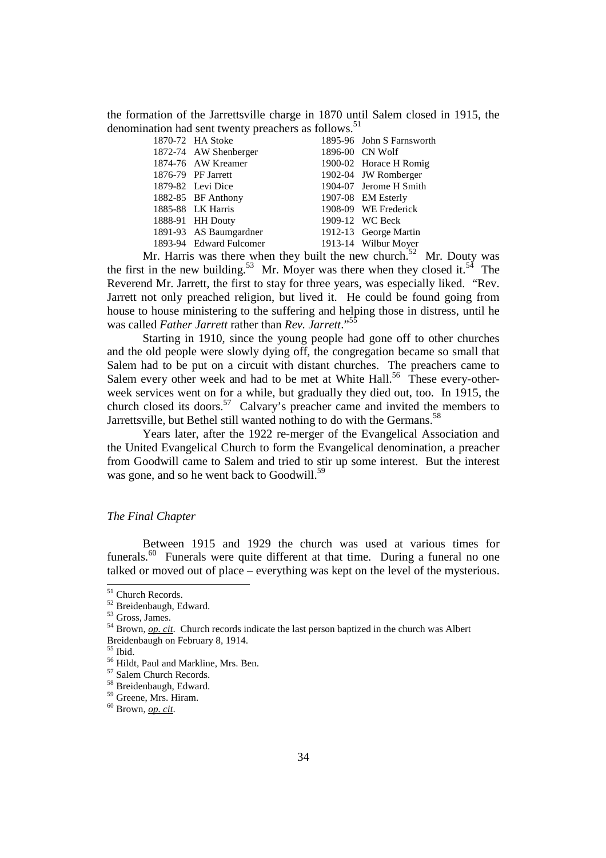the formation of the Jarrettsville charge in 1870 until Salem closed in 1915, the denomination had sent twenty preachers as follows. $51$ 

|                                                                                                                                                                                                                                | 1895-96 John S Farnsworth |
|--------------------------------------------------------------------------------------------------------------------------------------------------------------------------------------------------------------------------------|---------------------------|
|                                                                                                                                                                                                                                | 1896-00 CN Wolf           |
|                                                                                                                                                                                                                                | 1900-02 Horace H Romig    |
|                                                                                                                                                                                                                                | 1902-04 JW Romberger      |
|                                                                                                                                                                                                                                | 1904-07 Jerome H Smith    |
|                                                                                                                                                                                                                                | 1907-08 EM Esterly        |
|                                                                                                                                                                                                                                | 1908-09 WE Frederick      |
|                                                                                                                                                                                                                                | 1909-12 WC Beck           |
|                                                                                                                                                                                                                                | 1912-13 George Martin     |
|                                                                                                                                                                                                                                | 1913-14 Wilbur Moyer      |
| 1870-72 HA Stoke<br>1872-74 AW Shenberger<br>1874-76 AW Kreamer<br>1876-79 PF Jarrett<br>1879-82 Levi Dice<br>1882-85 BF Anthony<br>1885-88 LK Harris<br>1888-91 HH Douty<br>1891-93 AS Baumgardner<br>1893-94 Edward Fulcomer |                           |

Mr. Harris was there when they built the new church.<sup>52</sup> Mr. Douty was the first in the new building.<sup>53</sup> Mr. Moyer was there when they closed it.<sup>54</sup> The Reverend Mr. Jarrett, the first to stay for three years, was especially liked. "Rev. Jarrett not only preached religion, but lived it. He could be found going from house to house ministering to the suffering and helping those in distress, until he was called *Father Jarrett* rather than *Rev. Jarrett*."<sup>55</sup>

 Starting in 1910, since the young people had gone off to other churches and the old people were slowly dying off, the congregation became so small that Salem had to be put on a circuit with distant churches. The preachers came to Salem every other week and had to be met at White Hall.<sup>56</sup> These every-otherweek services went on for a while, but gradually they died out, too. In 1915, the church closed its doors.<sup>57</sup> Calvary's preacher came and invited the members to Jarrettsville, but Bethel still wanted nothing to do with the Germans.<sup>58</sup>

 Years later, after the 1922 re-merger of the Evangelical Association and the United Evangelical Church to form the Evangelical denomination, a preacher from Goodwill came to Salem and tried to stir up some interest. But the interest was gone, and so he went back to Goodwill.<sup>59</sup>

### *The Final Chapter*

Between 1915 and 1929 the church was used at various times for funerals.<sup>60</sup> Funerals were quite different at that time. During a funeral no one talked or moved out of place – everything was kept on the level of the mysterious.

<sup>&</sup>lt;sup>51</sup> Church Records.

<sup>&</sup>lt;sup>52</sup> Breidenbaugh, Edward.

<sup>53</sup> Gross, James.

<sup>54</sup> Brown, *op. cit*. Church records indicate the last person baptized in the church was Albert Breidenbaugh on February 8, 1914.

 $^{\rm 55}$  Ibid.

<sup>56</sup> Hildt, Paul and Markline, Mrs. Ben.

<sup>57</sup> Salem Church Records.

<sup>58</sup> Breidenbaugh, Edward.

<sup>59</sup> Greene, Mrs. Hiram.

<sup>60</sup> Brown, *op. cit*.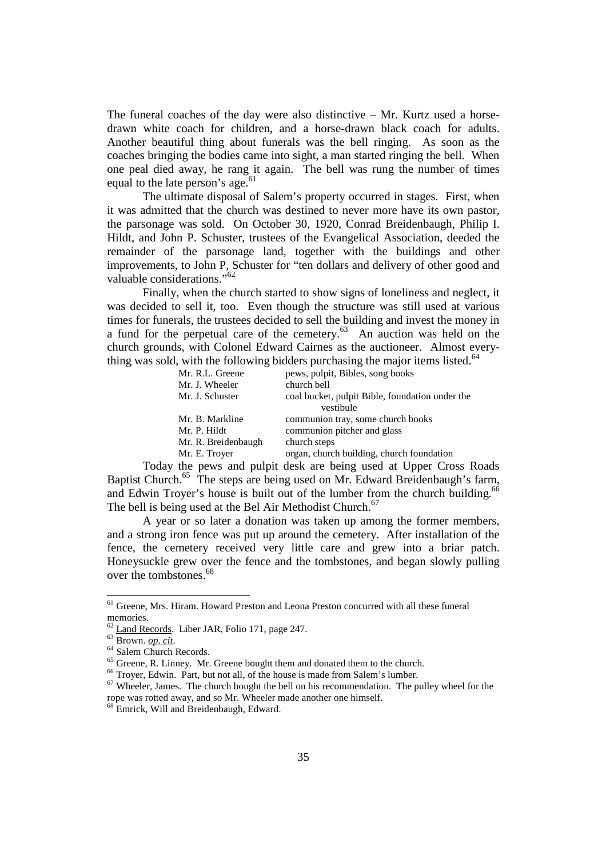The funeral coaches of the day were also distinctive  $-$  Mr. Kurtz used a horsedrawn white coach for children, and a horse-drawn black coach for adults. Another beautiful thing about funerals was the bell ringing. As soon as the coaches bringing the bodies came into sight, a man started ringing the bell. When one peal died away, he rang it again. The bell was rung the number of times equal to the late person's age.<sup>61</sup>

 The ultimate disposal of Salem's property occurred in stages. First, when it was admitted that the church was destined to never more have its own pastor, the parsonage was sold. On October 30, 1920, Conrad Breidenbaugh, Philip I. Hildt, and John P. Schuster, trustees of the Evangelical Association, deeded the remainder of the parsonage land, together with the buildings and other improvements, to John P, Schuster for "ten dollars and delivery of other good and valuable considerations."<sup>62</sup>

 Finally, when the church started to show signs of loneliness and neglect, it was decided to sell it, too. Even though the structure was still used at various times for funerals, the trustees decided to sell the building and invest the money in a fund for the perpetual care of the cemetery. $63$  An auction was held on the church grounds, with Colonel Edward Cairnes as the auctioneer. Almost everything was sold, with the following bidders purchasing the major items listed. $64$ 

| Mr. R.L. Greene<br>Mr. J. Wheeler    | pews, pulpit, Bibles, song books<br>church bell                  |
|--------------------------------------|------------------------------------------------------------------|
| Mr. J. Schuster                      | coal bucket, pulpit Bible, foundation under the<br>vestibule     |
| Mr. B. Markline<br>Mr. P. Hildt      | communion tray, some church books<br>communion pitcher and glass |
| Mr. R. Breidenbaugh<br>Mr. E. Troyer | church steps<br>organ, church building, church foundation        |
|                                      |                                                                  |

Today the pews and pulpit desk are being used at Upper Cross Roads Baptist Church.<sup>65</sup> The steps are being used on Mr. Edward Breidenbaugh's farm, and Edwin Troyer's house is built out of the lumber from the church building.<sup>66</sup> The bell is being used at the Bel Air Methodist Church.<sup>67</sup>

A year or so later a donation was taken up among the former members, and a strong iron fence was put up around the cemetery. After installation of the fence, the cemetery received very little care and grew into a briar patch. Honeysuckle grew over the fence and the tombstones, and began slowly pulling over the tombstones.<sup>68</sup>

<sup>&</sup>lt;sup>61</sup> Greene, Mrs. Hiram. Howard Preston and Leona Preston concurred with all these funeral memories.

<sup>62</sup> Land Records. Liber JAR, Folio 171, page 247.

<sup>63</sup> Brown. *op. cit*.

<sup>&</sup>lt;sup>64</sup> Salem Church Records.

<sup>&</sup>lt;sup>65</sup> Greene, R. Linney. Mr. Greene bought them and donated them to the church.

<sup>&</sup>lt;sup>66</sup> Trover, Edwin. Part, but not all, of the house is made from Salem's lumber.

 $67$  Wheeler, James. The church bought the bell on his recommendation. The pulley wheel for the rope was rotted away, and so Mr. Wheeler made another one himself.

<sup>&</sup>lt;sup>68</sup> Emrick, Will and Breidenbaugh, Edward.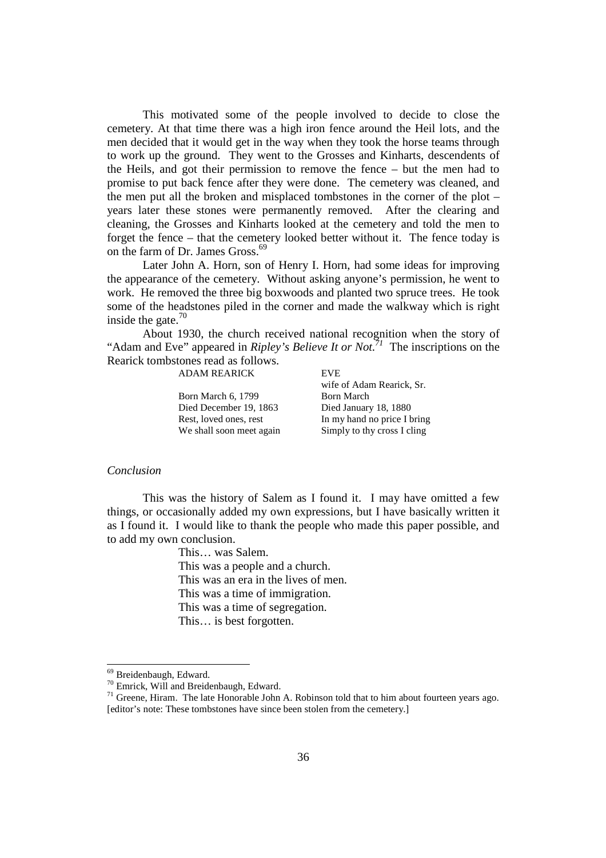This motivated some of the people involved to decide to close the cemetery. At that time there was a high iron fence around the Heil lots, and the men decided that it would get in the way when they took the horse teams through to work up the ground. They went to the Grosses and Kinharts, descendents of the Heils, and got their permission to remove the fence – but the men had to promise to put back fence after they were done. The cemetery was cleaned, and the men put all the broken and misplaced tombstones in the corner of the plot – years later these stones were permanently removed. After the clearing and cleaning, the Grosses and Kinharts looked at the cemetery and told the men to forget the fence – that the cemetery looked better without it. The fence today is on the farm of Dr. James Gross.<sup>69</sup>

Later John A. Horn, son of Henry I. Horn, had some ideas for improving the appearance of the cemetery. Without asking anyone's permission, he went to work. He removed the three big boxwoods and planted two spruce trees. He took some of the headstones piled in the corner and made the walkway which is right inside the gate. $70$ 

About 1930, the church received national recognition when the story of "Adam and Eve" appeared in *Ripley's Believe It or Not.<sup>71</sup>* The inscriptions on the Rearick tombstones read as follows.

ADAM REARICK EVE

Born March 6, 1799 Born March Died December 19, 1863 Died January 18, 1880

 wife of Adam Rearick, Sr. Rest, loved ones, rest In my hand no price I bring We shall soon meet again Simply to thy cross I cling

#### *Conclusion*

 This was the history of Salem as I found it. I may have omitted a few things, or occasionally added my own expressions, but I have basically written it as I found it. I would like to thank the people who made this paper possible, and to add my own conclusion.

> This… was Salem. This was a people and a church. This was an era in the lives of men. This was a time of immigration. This was a time of segregation. This… is best forgotten.

<sup>&</sup>lt;sup>69</sup> Breidenbaugh, Edward.

<sup>70</sup> Emrick, Will and Breidenbaugh, Edward.

<sup>&</sup>lt;sup>71</sup> Greene, Hiram. The late Honorable John A. Robinson told that to him about fourteen years ago. [editor's note: These tombstones have since been stolen from the cemetery.]